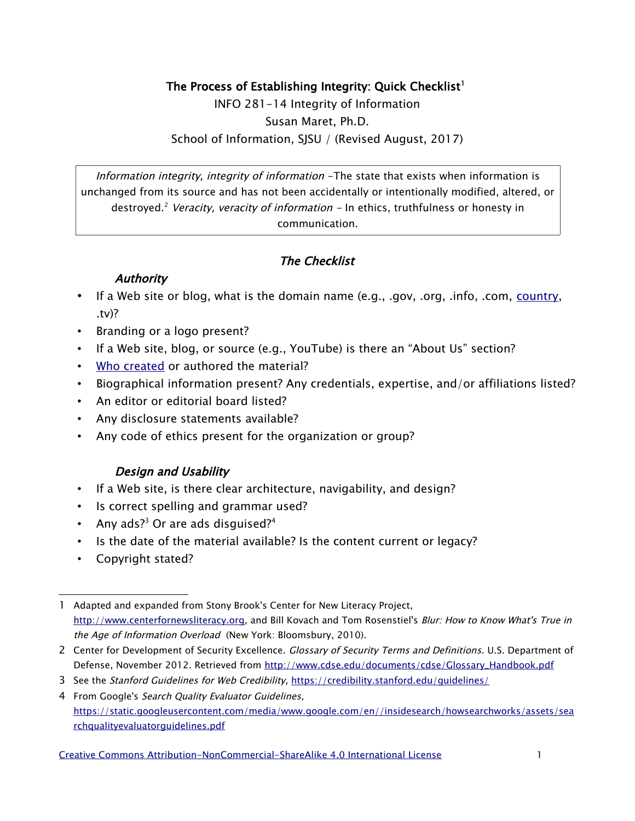### The Process of Establishing Integrity: Quick Checklist $^{\rm l}$

INFO 281-14 Integrity of Information Susan Maret, Ph.D. School of Information, SJSU / (Revised August, 2017)

Information integrity, integrity of information -The state that exists when information is unchanged from its source and has not been accidentally or intentionally modified, altered, or destroyed.<sup>[2](#page-0-1)</sup> Veracity, veracity of information – In ethics, truthfulness or honesty in communication.

# The Checklist

### **Authority**

- If a Web site or blog, what is the domain name (e.g., .gov, .org, .info, .com, [country,](https://www.bluecoat.com/company/press-releases/blue-coat-reveals-webs-shadiest-neighborhoods) .tv)?
- Branding or a logo present?
- If a Web site, blog, or source (e.g., YouTube) is there an "About Us" section?
- [Who created](http://www.criticalmediaproject.org/about/site-overview/) or authored the material?
- Biographical information present? Any credentials, expertise, and/or affiliations listed?
- An editor or editorial board listed?
- Any disclosure statements available?
- Any code of ethics present for the organization or group?

# Design and Usability

- If a Web site, is there clear architecture, navigability, and design?
- Is correct spelling and grammar used?
- Any ads? $^3$  $^3$  Or are ads disguised? $^4$  $^4$
- Is the date of the material available? Is the content current or legacy?
- Copyright stated?

- <span id="page-0-1"></span>2 Center for Development of Security Excellence. Glossary of Security Terms and Definitions. U.S. Department of Defense, November 2012. Retrieved from [http://www.cdse.edu/documents/cdse/Glossary\\_Handbook.pdf](http://www.cdse.edu/documents/cdse/Glossary_Handbook.pdf)
- <span id="page-0-2"></span>3 See the Stanford Guidelines for Web Credibility, <https://credibility.stanford.edu/guidelines/>

[Creative Commons Attribution-NonCommercial-ShareAlike 4.0 International License](http://creativecommons.org/licenses/by-nc-sa/4.0/) 1

<span id="page-0-0"></span><sup>1</sup> Adapted and expanded from Stony Brook's Center for New Literacy Project, [http://www.centerfornewsliteracy.org,](http://www.centerfornewsliteracy.org/) and Bill Kovach and Tom Rosenstiel's Blur: How to Know What's True in the Age of Information Overload (New York: Bloomsbury, 2010).

<span id="page-0-3"></span><sup>4</sup> From Google's Search Quality Evaluator Guidelines, [https://static.googleusercontent.com/media/www.google.com/en//insidesearch/howsearchworks/assets/sea](https://static.googleusercontent.com/media/www.google.com/en//insidesearch/howsearchworks/assets/searchqualityevaluatorguidelines.pdf) [rchqualityevaluatorguidelines.pdf](https://static.googleusercontent.com/media/www.google.com/en//insidesearch/howsearchworks/assets/searchqualityevaluatorguidelines.pdf)